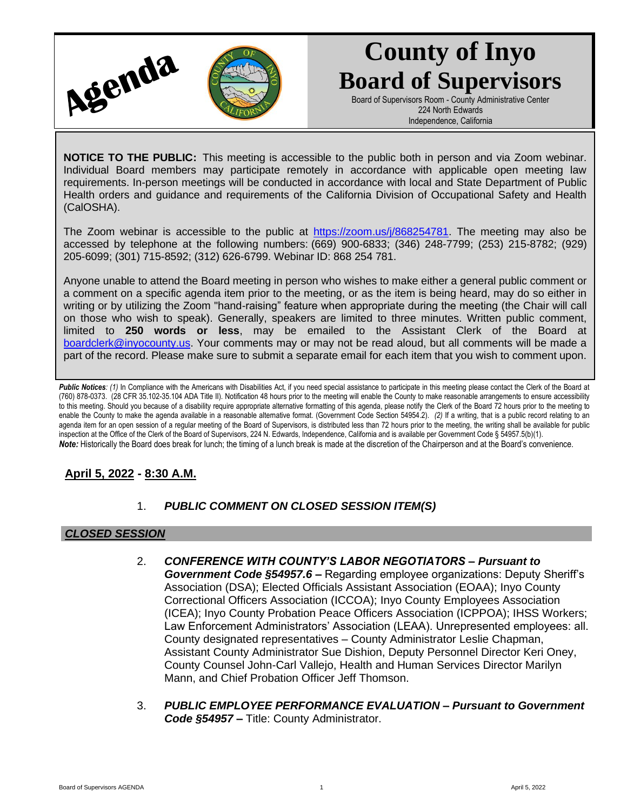

# **County of Inyo Board of Supervisors**

Board of Supervisors Room - County Administrative Center 224 North Edwards Independence, California

**NOTICE TO THE PUBLIC:** This meeting is accessible to the public both in person and via Zoom webinar. Individual Board members may participate remotely in accordance with applicable open meeting law requirements. In-person meetings will be conducted in accordance with local and State Department of Public Health orders and guidance and requirements of the California Division of Occupational Safety and Health (CalOSHA).

The Zoom webinar is accessible to the public at [https://zoom.us/j/868254781.](https://zoom.us/j/868254781) The meeting may also be accessed by telephone at the following numbers: (669) 900-6833; (346) 248-7799; (253) 215-8782; (929) 205-6099; (301) 715-8592; (312) 626-6799. Webinar ID: 868 254 781.

Anyone unable to attend the Board meeting in person who wishes to make either a general public comment or a comment on a specific agenda item prior to the meeting, or as the item is being heard, may do so either in writing or by utilizing the Zoom "hand-raising" feature when appropriate during the meeting (the Chair will call on those who wish to speak). Generally, speakers are limited to three minutes. Written public comment, limited to **250 words or less**, may be emailed to the Assistant Clerk of the Board at [boardclerk@inyocounty.us.](mailto:boardclerk@inyocounty.us) Your comments may or may not be read aloud, but all comments will be made a part of the record. Please make sure to submit a separate email for each item that you wish to comment upon.

Public Notices: (1) In Compliance with the Americans with Disabilities Act, if you need special assistance to participate in this meeting please contact the Clerk of the Board at (760) 878-0373. (28 CFR 35.102-35.104 ADA Title II). Notification 48 hours prior to the meeting will enable the County to make reasonable arrangements to ensure accessibility to this meeting. Should you because of a disability require appropriate alternative formatting of this agenda, please notify the Clerk of the Board 72 hours prior to the meeting to enable the County to make the agenda available in a reasonable alternative format. (Government Code Section 54954.2). *(2)* If a writing, that is a public record relating to an agenda item for an open session of a regular meeting of the Board of Supervisors, is distributed less than 72 hours prior to the meeting, the writing shall be available for public inspection at the Office of the Clerk of the Board of Supervisors, 224 N. Edwards, Independence, California and is available per Government Code § 54957.5(b)(1). *Note:* Historically the Board does break for lunch; the timing of a lunch break is made at the discretion of the Chairperson and at the Board's convenience.

## **April 5, 2022 - 8:30 A.M.**

### 1. *PUBLIC COMMENT ON CLOSED SESSION ITEM(S)*

#### *CLOSED SESSION*

- 2. *CONFERENCE WITH COUNTY'S LABOR NEGOTIATORS – Pursuant to Government Code §54957.6 –* Regarding employee organizations: Deputy Sheriff's Association (DSA); Elected Officials Assistant Association (EOAA); Inyo County Correctional Officers Association (ICCOA); Inyo County Employees Association (ICEA); Inyo County Probation Peace Officers Association (ICPPOA); IHSS Workers; Law Enforcement Administrators' Association (LEAA). Unrepresented employees: all. County designated representatives – County Administrator Leslie Chapman, Assistant County Administrator Sue Dishion, Deputy Personnel Director Keri Oney, County Counsel John-Carl Vallejo, Health and Human Services Director Marilyn Mann, and Chief Probation Officer Jeff Thomson.
- 3. *PUBLIC EMPLOYEE PERFORMANCE EVALUATION – Pursuant to Government Code §54957 –* Title: County Administrator.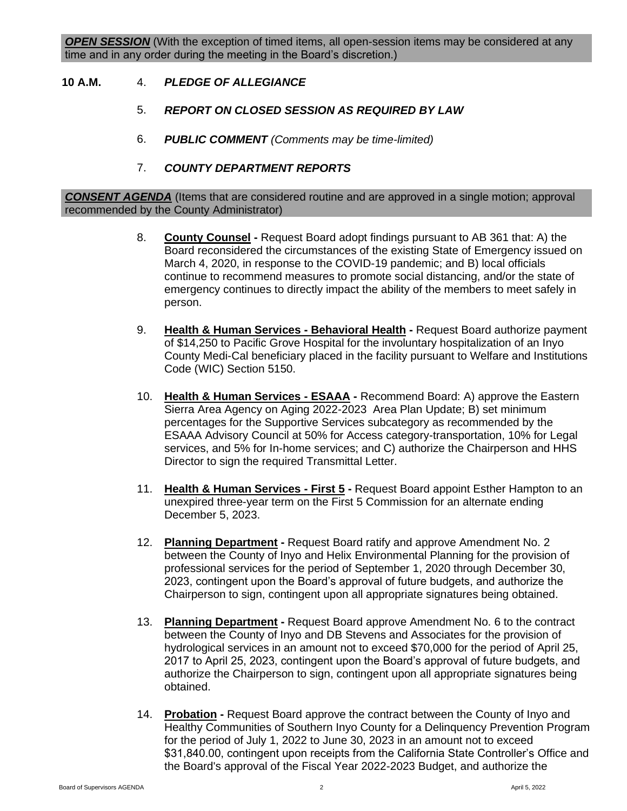#### **10 A.M.** 4. *PLEDGE OF ALLEGIANCE*

- 5. *REPORT ON CLOSED SESSION AS REQUIRED BY LAW*
- 6. *PUBLIC COMMENT (Comments may be time-limited)*
- 7. *COUNTY DEPARTMENT REPORTS*

*CONSENT AGENDA* (Items that are considered routine and are approved in a single motion; approval recommended by the County Administrator)

- 8. **County Counsel -** Request Board adopt findings pursuant to AB 361 that: A) the Board reconsidered the circumstances of the existing State of Emergency issued on March 4, 2020, in response to the COVID-19 pandemic; and B) local officials continue to recommend measures to promote social distancing, and/or the state of emergency continues to directly impact the ability of the members to meet safely in person.
- 9. **Health & Human Services - Behavioral Health -** Request Board authorize payment of \$14,250 to Pacific Grove Hospital for the involuntary hospitalization of an Inyo County Medi-Cal beneficiary placed in the facility pursuant to Welfare and Institutions Code (WIC) Section 5150.
- 10. **Health & Human Services - ESAAA -** Recommend Board: A) approve the Eastern Sierra Area Agency on Aging 2022-2023 Area Plan Update; B) set minimum percentages for the Supportive Services subcategory as recommended by the ESAAA Advisory Council at 50% for Access category-transportation, 10% for Legal services, and 5% for In-home services; and C) authorize the Chairperson and HHS Director to sign the required Transmittal Letter.
- 11. **Health & Human Services - First 5 -** Request Board appoint Esther Hampton to an unexpired three-year term on the First 5 Commission for an alternate ending December 5, 2023.
- 12. **Planning Department -** Request Board ratify and approve Amendment No. 2 between the County of Inyo and Helix Environmental Planning for the provision of professional services for the period of September 1, 2020 through December 30, 2023, contingent upon the Board's approval of future budgets, and authorize the Chairperson to sign, contingent upon all appropriate signatures being obtained.
- 13. **Planning Department -** Request Board approve Amendment No. 6 to the contract between the County of Inyo and DB Stevens and Associates for the provision of hydrological services in an amount not to exceed \$70,000 for the period of April 25, 2017 to April 25, 2023, contingent upon the Board's approval of future budgets, and authorize the Chairperson to sign, contingent upon all appropriate signatures being obtained.
- 14. **Probation -** Request Board approve the contract between the County of Inyo and Healthy Communities of Southern Inyo County for a Delinquency Prevention Program for the period of July 1, 2022 to June 30, 2023 in an amount not to exceed \$31,840.00, contingent upon receipts from the California State Controller's Office and the Board's approval of the Fiscal Year 2022-2023 Budget, and authorize the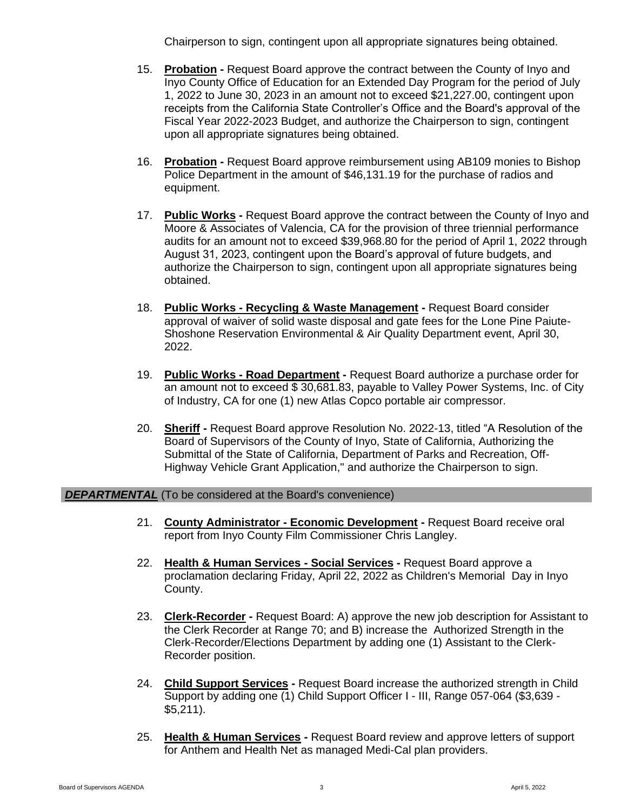Chairperson to sign, contingent upon all appropriate signatures being obtained.

- 15. **Probation -** Request Board approve the contract between the County of Inyo and Inyo County Office of Education for an Extended Day Program for the period of July 1, 2022 to June 30, 2023 in an amount not to exceed \$21,227.00, contingent upon receipts from the California State Controller's Office and the Board's approval of the Fiscal Year 2022-2023 Budget, and authorize the Chairperson to sign, contingent upon all appropriate signatures being obtained.
- 16. **Probation -** Request Board approve reimbursement using AB109 monies to Bishop Police Department in the amount of \$46,131.19 for the purchase of radios and equipment.
- 17. **Public Works -** Request Board approve the contract between the County of Inyo and Moore & Associates of Valencia, CA for the provision of three triennial performance audits for an amount not to exceed \$39,968.80 for the period of April 1, 2022 through August 31, 2023, contingent upon the Board's approval of future budgets, and authorize the Chairperson to sign, contingent upon all appropriate signatures being obtained.
- 18. **Public Works - Recycling & Waste Management -** Request Board consider approval of waiver of solid waste disposal and gate fees for the Lone Pine Paiute-Shoshone Reservation Environmental & Air Quality Department event, April 30, 2022.
- 19. **Public Works - Road Department -** Request Board authorize a purchase order for an amount not to exceed \$ 30,681.83, payable to Valley Power Systems, Inc. of City of Industry, CA for one (1) new Atlas Copco portable air compressor.
- 20. **Sheriff -** Request Board approve Resolution No. 2022-13, titled "A Resolution of the Board of Supervisors of the County of Inyo, State of California, Authorizing the Submittal of the State of California, Department of Parks and Recreation, Off-Highway Vehicle Grant Application," and authorize the Chairperson to sign.

#### **DEPARTMENTAL** (To be considered at the Board's convenience)

- 21. **County Administrator - Economic Development -** Request Board receive oral report from Inyo County Film Commissioner Chris Langley.
- 22. **Health & Human Services - Social Services -** Request Board approve a proclamation declaring Friday, April 22, 2022 as Children's Memorial Day in Inyo County.
- 23. **Clerk-Recorder -** Request Board: A) approve the new job description for Assistant to the Clerk Recorder at Range 70; and B) increase the Authorized Strength in the Clerk-Recorder/Elections Department by adding one (1) Assistant to the Clerk-Recorder position.
- 24. **Child Support Services -** Request Board increase the authorized strength in Child Support by adding one (1) Child Support Officer I - III, Range 057-064 (\$3,639 - \$5,211).
- 25. **Health & Human Services -** Request Board review and approve letters of support for Anthem and Health Net as managed Medi-Cal plan providers.